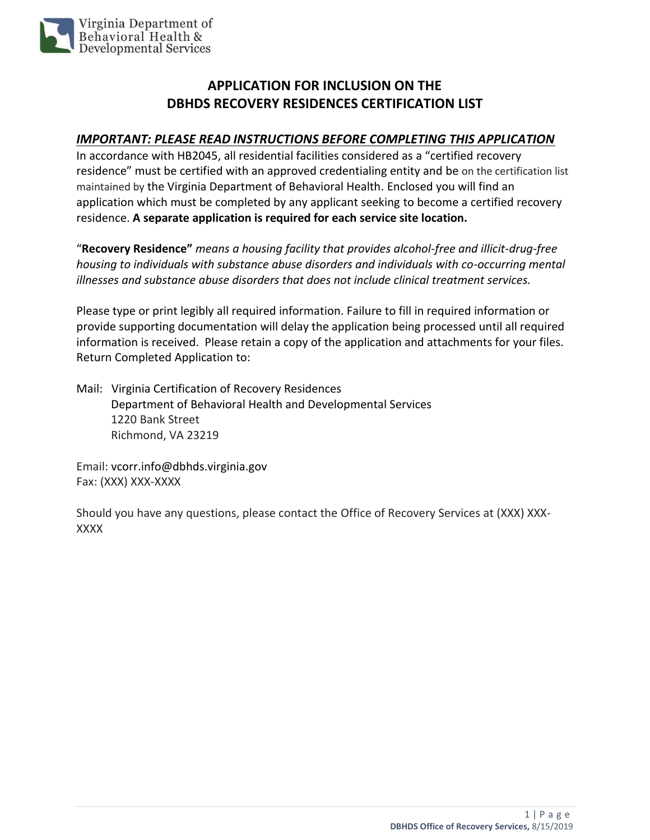

## **APPLICATION FOR INCLUSION ON THE DBHDS RECOVERY RESIDENCES CERTIFICATION LIST**

## *IMPORTANT: PLEASE READ INSTRUCTIONS BEFORE COMPLETING THIS APPLICATION*

In accordance with HB2045, all residential facilities considered as a "certified recovery residence" must be certified with an approved credentialing entity and be on the certification list maintained by the Virginia Department of Behavioral Health. Enclosed you will find an application which must be completed by any applicant seeking to become a certified recovery residence. **A separate application is required for each service site location.** 

"**Recovery Residence"** *means a housing facility that provides alcohol-free and illicit-drug-free housing to individuals with substance abuse disorders and individuals with co-occurring mental illnesses and substance abuse disorders that does not include clinical treatment services.*

Please type or print legibly all required information. Failure to fill in required information or provide supporting documentation will delay the application being processed until all required information is received. Please retain a copy of the application and attachments for your files. Return Completed Application to:

Mail: Virginia Certification of Recovery Residences Department of Behavioral Health and Developmental Services 1220 Bank Street Richmond, VA 23219

Email: vcorr.info@dbhds.virginia.gov Fax: (XXX) XXX-XXXX

Should you have any questions, please contact the Office of Recovery Services at (XXX) XXX-XXXX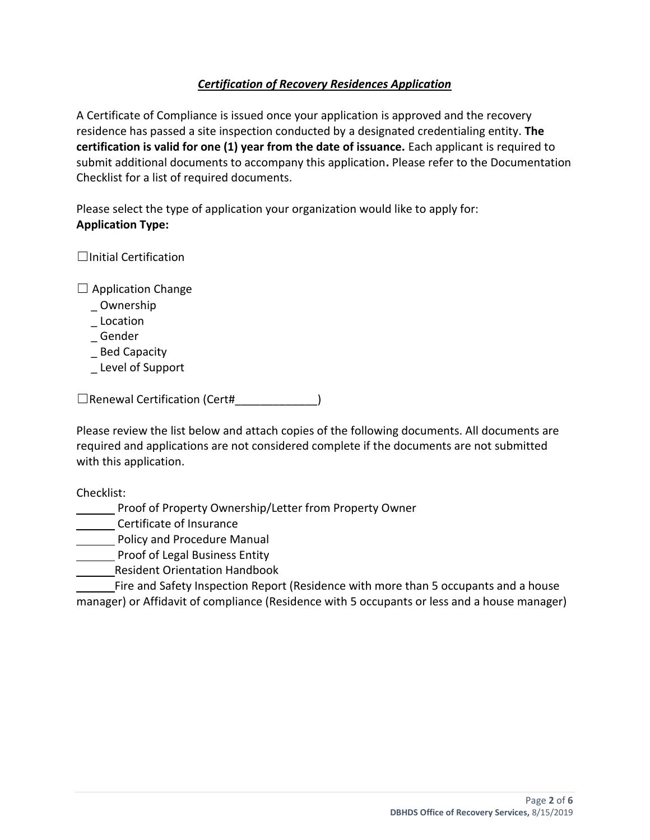## *Certification of Recovery Residences Application*

A Certificate of Compliance is issued once your application is approved and the recovery residence has passed a site inspection conducted by a designated credentialing entity. **The certification is valid for one (1) year from the date of issuance.** Each applicant is required to submit additional documents to accompany this application**.** Please refer to the Documentation Checklist for a list of required documents.

Please select the type of application your organization would like to apply for: **Application Type:**

 $\Box$ Initial Certification

 $\Box$  Application Change

- \_ Ownership
- **Location**
- \_ Gender
- \_ Bed Capacity
- \_ Level of Support

☐Renewal Certification (Cert#\_\_\_\_\_\_\_\_\_\_\_\_\_)

Please review the list below and attach copies of the following documents. All documents are required and applications are not considered complete if the documents are not submitted with this application.

Checklist:

**Proof of Property Ownership/Letter from Property Owner** 

**Certificate of Insurance** 

**Policy and Procedure Manual** 

Proof of Legal Business Entity

Resident Orientation Handbook

Fire and Safety Inspection Report (Residence with more than 5 occupants and a house manager) or Affidavit of compliance (Residence with 5 occupants or less and a house manager)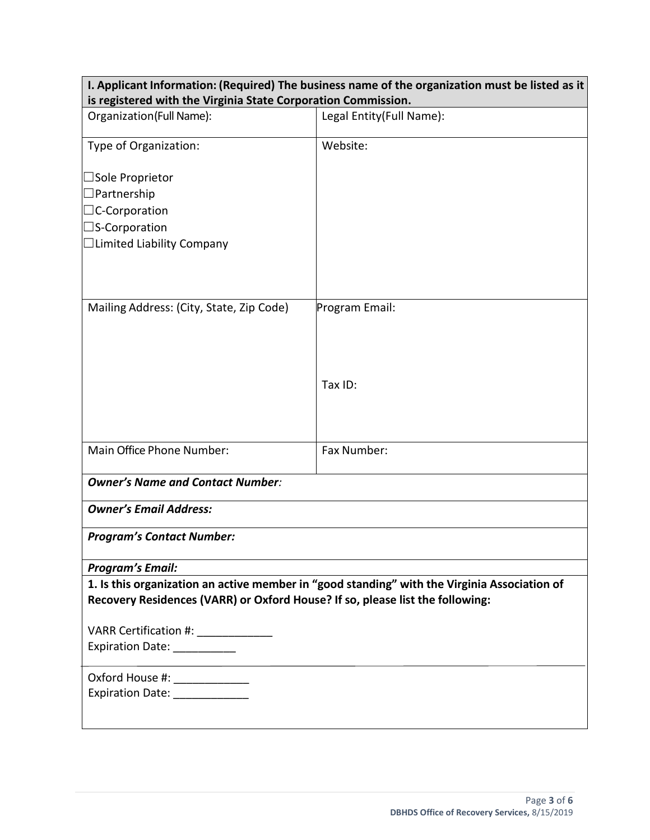| I. Applicant Information: (Required) The business name of the organization must be listed as it |                          |  |
|-------------------------------------------------------------------------------------------------|--------------------------|--|
| is registered with the Virginia State Corporation Commission.                                   |                          |  |
| Organization(Full Name):                                                                        | Legal Entity(Full Name): |  |
|                                                                                                 |                          |  |
| Type of Organization:                                                                           | Website:                 |  |
|                                                                                                 |                          |  |
| $\Box$ Sole Proprietor                                                                          |                          |  |
| Partnership                                                                                     |                          |  |
| $\Box$ C-Corporation                                                                            |                          |  |
| $\square$ S-Corporation                                                                         |                          |  |
| $\Box$ Limited Liability Company                                                                |                          |  |
|                                                                                                 |                          |  |
|                                                                                                 |                          |  |
| Mailing Address: (City, State, Zip Code)                                                        |                          |  |
|                                                                                                 | Program Email:           |  |
|                                                                                                 |                          |  |
|                                                                                                 |                          |  |
|                                                                                                 |                          |  |
|                                                                                                 | Tax ID:                  |  |
|                                                                                                 |                          |  |
|                                                                                                 |                          |  |
|                                                                                                 |                          |  |
| Main Office Phone Number:                                                                       | Fax Number:              |  |
|                                                                                                 |                          |  |
| <b>Owner's Name and Contact Number:</b>                                                         |                          |  |
| <b>Owner's Email Address:</b>                                                                   |                          |  |
| <b>Program's Contact Number:</b>                                                                |                          |  |
|                                                                                                 |                          |  |
| <b>Program's Email:</b>                                                                         |                          |  |
| 1. Is this organization an active member in "good standing" with the Virginia Association of    |                          |  |
| Recovery Residences (VARR) or Oxford House? If so, please list the following:                   |                          |  |
|                                                                                                 |                          |  |
| VARR Certification #: _____________                                                             |                          |  |
| Expiration Date: __________                                                                     |                          |  |
|                                                                                                 |                          |  |
| Oxford House #: ______________                                                                  |                          |  |
|                                                                                                 |                          |  |
|                                                                                                 |                          |  |
|                                                                                                 |                          |  |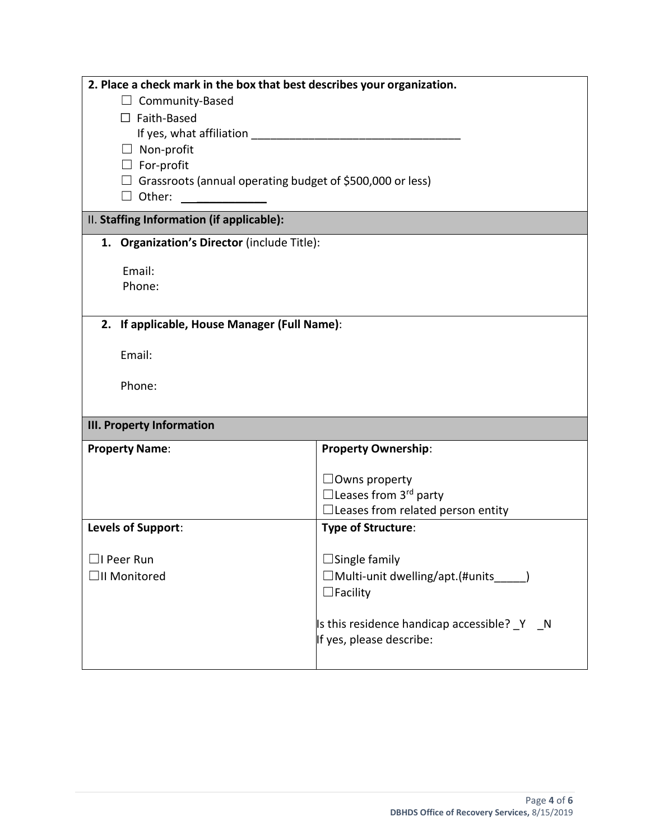| 2. Place a check mark in the box that best describes your organization. |                                              |  |  |  |
|-------------------------------------------------------------------------|----------------------------------------------|--|--|--|
| $\Box$ Community-Based                                                  |                                              |  |  |  |
| $\Box$ Faith-Based                                                      |                                              |  |  |  |
|                                                                         |                                              |  |  |  |
| $\Box$ Non-profit                                                       |                                              |  |  |  |
|                                                                         | $\Box$ For-profit                            |  |  |  |
| $\Box$ Grassroots (annual operating budget of \$500,000 or less)        |                                              |  |  |  |
| $\Box$ Other:                                                           |                                              |  |  |  |
| II. Staffing Information (if applicable):                               |                                              |  |  |  |
| 1. Organization's Director (include Title):                             |                                              |  |  |  |
| Email:                                                                  |                                              |  |  |  |
| Phone:                                                                  |                                              |  |  |  |
|                                                                         |                                              |  |  |  |
| 2. If applicable, House Manager (Full Name):                            |                                              |  |  |  |
|                                                                         |                                              |  |  |  |
| Email:                                                                  |                                              |  |  |  |
| Phone:                                                                  |                                              |  |  |  |
|                                                                         |                                              |  |  |  |
| <b>III. Property Information</b>                                        |                                              |  |  |  |
| <b>Property Name:</b>                                                   | <b>Property Ownership:</b>                   |  |  |  |
|                                                                         | $\Box$ Owns property                         |  |  |  |
|                                                                         | $\Box$ Leases from 3 <sup>rd</sup> party     |  |  |  |
|                                                                         | $\Box$ Leases from related person entity     |  |  |  |
| Levels of Support:                                                      | <b>Type of Structure:</b>                    |  |  |  |
|                                                                         |                                              |  |  |  |
| ∃I Peer Run                                                             | $\Box$ Single family                         |  |  |  |
| $\Box$ II Monitored                                                     | □Multi-unit dwelling/apt.(#units_            |  |  |  |
|                                                                         | $\Box$ Facility                              |  |  |  |
|                                                                         |                                              |  |  |  |
|                                                                         | Is this residence handicap accessible? _Y _N |  |  |  |
|                                                                         | If yes, please describe:                     |  |  |  |
|                                                                         |                                              |  |  |  |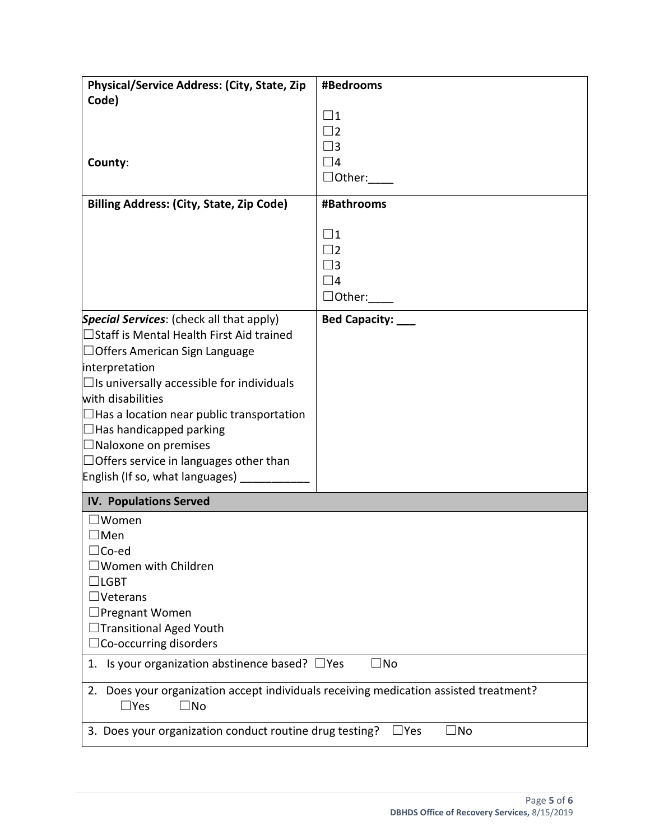| Physical/Service Address: (City, State, Zip                                                                      | #Bedrooms               |  |
|------------------------------------------------------------------------------------------------------------------|-------------------------|--|
| Code)                                                                                                            |                         |  |
|                                                                                                                  | $\square$ 1             |  |
|                                                                                                                  | $\Box$ 2                |  |
|                                                                                                                  | $\square$ 3<br>$\Box$ 4 |  |
| County:                                                                                                          |                         |  |
|                                                                                                                  | $\Box$ Other:           |  |
| <b>Billing Address: (City, State, Zip Code)</b>                                                                  | #Bathrooms              |  |
|                                                                                                                  | $\square$ 1             |  |
|                                                                                                                  | $\Box$ 2                |  |
|                                                                                                                  | $\square$ 3             |  |
|                                                                                                                  | $\square$ 4             |  |
|                                                                                                                  | $\Box$ Other: $\_\_$    |  |
| Special Services: (check all that apply)                                                                         | Bed Capacity: ___       |  |
| $\Box$ Staff is Mental Health First Aid trained                                                                  |                         |  |
| $\Box$ Offers American Sign Language                                                                             |                         |  |
| interpretation                                                                                                   |                         |  |
| $\Box$ Is universally accessible for individuals                                                                 |                         |  |
| with disabilities                                                                                                |                         |  |
| $\Box$ Has a location near public transportation                                                                 |                         |  |
| $\Box$ Has handicapped parking                                                                                   |                         |  |
| $\Box$ Naloxone on premises                                                                                      |                         |  |
| $\Box$ Offers service in languages other than                                                                    |                         |  |
| English (If so, what languages) ____                                                                             |                         |  |
| <b>IV. Populations Served</b>                                                                                    |                         |  |
| $\Box$ Women                                                                                                     |                         |  |
| $\square$ Men                                                                                                    |                         |  |
| $\Box$ Co-ed                                                                                                     |                         |  |
| $\square$ Women with Children                                                                                    |                         |  |
| $\Box$ lgbt                                                                                                      |                         |  |
| $\Box$ Veterans                                                                                                  |                         |  |
| $\Box$ Pregnant Women                                                                                            |                         |  |
| $\Box$ Transitional Aged Youth                                                                                   |                         |  |
| $\Box$ Co-occurring disorders<br>1. Is your organization abstinence based? $\Box$ Yes                            | $\Box$ No               |  |
|                                                                                                                  |                         |  |
| 2. Does your organization accept individuals receiving medication assisted treatment?<br>$\Box$ Yes<br>$\Box$ No |                         |  |
| 3. Does your organization conduct routine drug testing?                                                          | ∃No<br>$\Box$ Yes       |  |